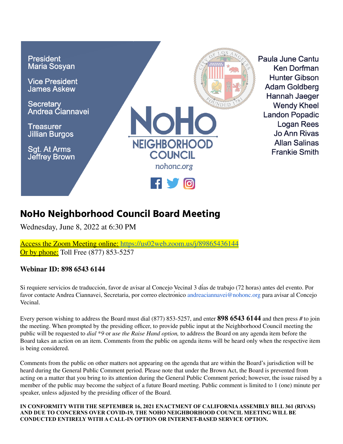

# **NoHo Neighborhood Council Board Meeting**

Wednesday, June 8, 2022 at 6:30 PM

Access the Zoom Meeting online: <https://us02web.zoom.us/j/89865436144> **Or by phone:** Toll Free (877) 853-5257

## **Webinar ID: 898 6543 6144**

Si requiere servicios de traducción, favor de avisar al Concejo Vecinal 3 días de trabajo (72 horas) antes del evento. Por favor contacte Andrea Ciannavei, Secretaria, por correo electrónico andreaciannavei@nohonc.org para avisar al Concejo Vecinal.

Every person wishing to address the Board must dial (877) 853-5257, and enter **898 6543 6144** and then press # to join the meeting. When prompted by the presiding officer, to provide public input at the Neighborhood Council meeting the public will be requested to *dial \*9* or *use the Raise Hand option,* to address the Board on any agenda item before the Board takes an action on an item. Comments from the public on agenda items will be heard only when the respective item is being considered.

Comments from the public on other matters not appearing on the agenda that are within the Board's jurisdiction will be heard during the General Public Comment period. Please note that under the Brown Act, the Board is prevented from acting on a matter that you bring to its attention during the General Public Comment period; however, the issue raised by a member of the public may become the subject of a future Board meeting. Public comment is limited to 1 (one) minute per speaker, unless adjusted by the presiding officer of the Board.

**IN CONFORMITY WITH THE SEPTEMBER 16, 2021 ENACTMENT OF CALIFORNIAASSEMBLY BILL 361 (RIVAS) AND DUE TO CONCERNS OVER COVID-19, THE NOHO NEIGHBORHOOD COUNCIL MEETING WILL BE CONDUCTED ENTIRELY WITH A CALL-IN OPTION OR INTERNET-BASED SERVICE OPTION.**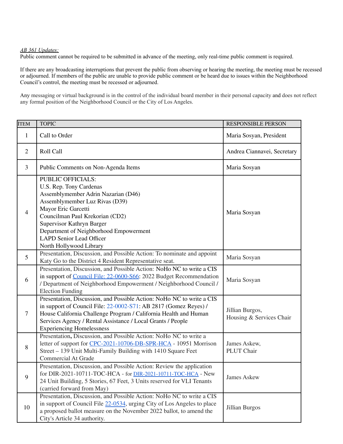#### *AB 361 Updates:*

Public comment cannot be required to be submitted in advance of the meeting, only real-time public comment is required.

If there are any broadcasting interruptions that prevent the public from observing or hearing the meeting, the meeting must be recessed or adjourned. If members of the public are unable to provide public comment or be heard due to issues within the Neighborhood Council's control, the meeting must be recessed or adjourned.

Any messaging or virtual background is in the control of the individual board member in their personal capacity and does not reflect any formal position of the Neighborhood Council or the City of Los Angeles.

| <b>ITEM</b>    | <b>TOPIC</b>                                                                                                                                                                                                                                                                                                                | <b>RESPONSIBLE PERSON</b>                   |
|----------------|-----------------------------------------------------------------------------------------------------------------------------------------------------------------------------------------------------------------------------------------------------------------------------------------------------------------------------|---------------------------------------------|
| 1              | Call to Order                                                                                                                                                                                                                                                                                                               | Maria Sosyan, President                     |
| 2              | Roll Call                                                                                                                                                                                                                                                                                                                   | Andrea Ciannavei, Secretary                 |
| 3              | Public Comments on Non-Agenda Items                                                                                                                                                                                                                                                                                         | Maria Sosyan                                |
| $\overline{4}$ | <b>PUBLIC OFFICIALS:</b><br>U.S. Rep. Tony Cardenas<br>Assemblymember Adrin Nazarian (D46)<br>Assemblymember Luz Rivas (D39)<br>Mayor Eric Garcetti<br>Councilman Paul Krekorian (CD2)<br>Supervisor Kathryn Barger<br>Department of Neighborhood Empowerment<br><b>LAPD Senior Lead Officer</b><br>North Hollywood Library | Maria Sosyan                                |
| 5              | Presentation, Discussion, and Possible Action: To nominate and appoint<br>Katy Go to the District 4 Resident Representative seat.                                                                                                                                                                                           | Maria Sosyan                                |
| 6              | Presentation, Discussion, and Possible Action: NoHo NC to write a CIS<br>in support of Council File: 22-0600-S66: 2022 Budget Recommendation<br>/ Department of Neighborhood Empowerment / Neighborhood Council /<br><b>Election Funding</b>                                                                                | Maria Sosyan                                |
| $\overline{7}$ | Presentation, Discussion, and Possible Action: NoHo NC to write a CIS<br>in support of Council File: 22-0002-S71: AB 2817 (Gomez Reyes) /<br>House California Challenge Program / California Health and Human<br>Services Agency / Rental Assistance / Local Grants / People<br><b>Experiencing Homelessness</b>            | Jillian Burgos,<br>Housing & Services Chair |
| 8              | Presentation, Discussion, and Possible Action: NoHo NC to write a<br>letter of support for CPC-2021-10706-DB-SPR-HCA - 10951 Morrison<br>Street - 139 Unit Multi-Family Building with 1410 Square Feet<br><b>Commercial At Grade</b>                                                                                        | James Askew,<br>PLUT Chair                  |
| 9              | Presentation, Discussion, and Possible Action: Review the application<br>for DIR-2021-10711-TOC-HCA - for DIR-2021-10711-TOC-HCA - New<br>24 Unit Building, 5 Stories, 67 Feet, 3 Units reserved for VLI Tenants<br>(carried forward from May)                                                                              | <b>James Askew</b>                          |
| 10             | Presentation, Discussion, and Possible Action: NoHo NC to write a CIS<br>in support of Council File 22-0534, urging City of Los Angeles to place<br>a proposed ballot measure on the November 2022 ballot, to amend the<br>City's Article 34 authority.                                                                     | Jillian Burgos                              |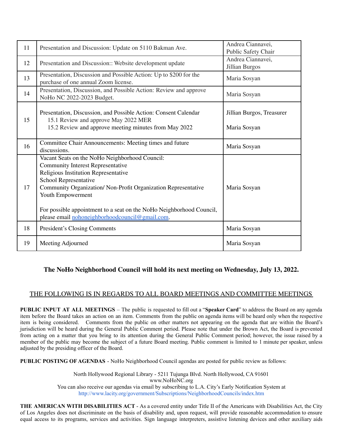| 11 | Presentation and Discussion: Update on 5110 Bakman Ave.                                                                                                                                                                                            | Andrea Ciannavei,<br>Public Safety Chair  |
|----|----------------------------------------------------------------------------------------------------------------------------------------------------------------------------------------------------------------------------------------------------|-------------------------------------------|
| 12 | Presentation and Discussion:: Website development update                                                                                                                                                                                           | Andrea Ciannavei,<br>Jillian Burgos       |
| 13 | Presentation, Discussion and Possible Action: Up to \$200 for the<br>purchase of one annual Zoom license.                                                                                                                                          | Maria Sosyan                              |
| 14 | Presentation, Discussion, and Possible Action: Review and approve<br>NoHo NC 2022-2023 Budget.                                                                                                                                                     | Maria Sosyan                              |
| 15 | Presentation, Discussion, and Possible Action: Consent Calendar<br>15.1 Review and approve May 2022 MER<br>15.2 Review and approve meeting minutes from May 2022                                                                                   | Jillian Burgos, Treasurer<br>Maria Sosyan |
|    | Committee Chair Announcements: Meeting times and future                                                                                                                                                                                            |                                           |
| 16 | discussions.                                                                                                                                                                                                                                       | Maria Sosyan                              |
| 17 | Vacant Seats on the NoHo Neighborhood Council:<br><b>Community Interest Representative</b><br>Religious Institution Representative<br>School Representative<br>Community Organization/ Non-Profit Organization Representative<br>Youth Empowerment | Maria Sosyan                              |
|    | For possible appointment to a seat on the NoHo Neighborhood Council,<br>please email nohoneighborhoodcouncil@gmail.com.                                                                                                                            |                                           |
| 18 | President's Closing Comments                                                                                                                                                                                                                       | Maria Sosyan                              |
| 19 | Meeting Adjourned                                                                                                                                                                                                                                  | Maria Sosyan                              |

## **The NoHo Neighborhood Council will hold its next meeting on Wednesday, July 13, 2022.**

### THE FOLLOWING IS IN REGARDS TO ALL BOARD MEETINGS AND COMMITTEE MEETINGS

**PUBLIC INPUT AT ALL MEETINGS** – The public is requested to fill out a "**Speaker Card**" to address the Board on any agenda item before the Board takes an action on an item. Comments from the public on agenda items will be heard only when the respective item is being considered. Comments from the public on other matters not appearing on the agenda that are within the Board's jurisdiction will be heard during the General Public Comment period. Please note that under the Brown Act, the Board is prevented from acting on a matter that you bring to its attention during the General Public Comment period; however, the issue raised by a member of the public may become the subject of a future Board meeting. Public comment is limited to 1 minute per speaker, unless adjusted by the presiding officer of the Board.

**PUBLIC POSTING OF AGENDAS** - NoHo Neighborhood Council agendas are posted for public review as follows:

North Hollywood Regional Library - 5211 Tujunga Blvd. North Hollywood, CA 91601 www.NoHoNC.org You can also receive our agendas via email by subscribing to L.A. City's Early Notification System at <http://www.lacity.org/government/Subscriptions/NeighborhoodCouncils/index.htm>

**THE AMERICAN WITH DISABILITIES ACT** - As a covered entity under Title II of the Americans with Disabilities Act, the City of Los Angeles does not discriminate on the basis of disability and, upon request, will provide reasonable accommodation to ensure equal access to its programs, services and activities. Sign language interpreters, assistive listening devices and other auxiliary aids